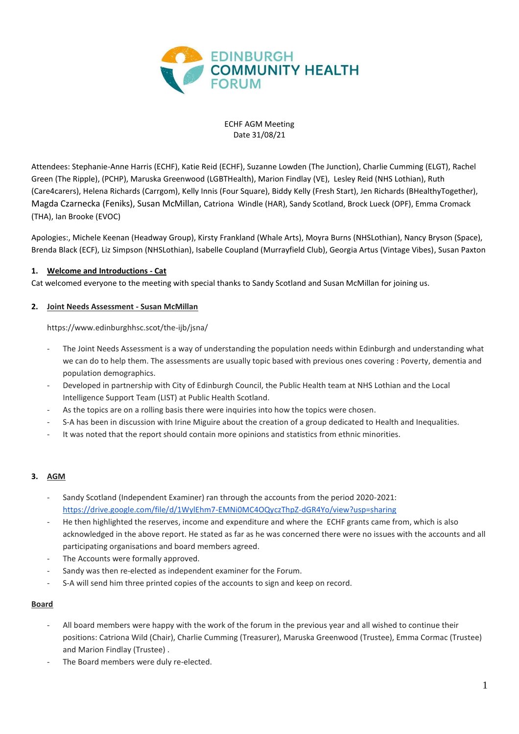

ECHF AGM Meeting Date 31/08/21

Attendees: Stephanie-Anne Harris (ECHF), Katie Reid (ECHF), Suzanne Lowden (The Junction), Charlie Cumming (ELGT), Rachel Green (The Ripple), (PCHP), Maruska Greenwood (LGBTHealth), Marion Findlay (VE), Lesley Reid (NHS Lothian), Ruth (Care4carers), Helena Richards (Carrgom), Kelly Innis (Four Square), Biddy Kelly (Fresh Start), Jen Richards (BHealthyTogether), Magda Czarnecka (Feniks), Susan McMillan, Catriona Windle (HAR), Sandy Scotland, Brock Lueck (OPF), Emma Cromack (THA), Ian Brooke (EVOC)

Apologies:, Michele Keenan (Headway Group), Kirsty Frankland (Whale Arts), Moyra Burns (NHSLothian), Nancy Bryson (Space), Brenda Black (ECF), Liz Simpson (NHSLothian), Isabelle Coupland (Murrayfield Club), Georgia Artus (Vintage Vibes), Susan Paxton

### **1. Welcome and Introductions - Cat**

Cat welcomed everyone to the meeting with special thanks to Sandy Scotland and Susan McMillan for joining us.

### **2. Joint Needs Assessment - Susan McMillan**

https://www.edinburghhsc.scot/the-ijb/jsna/

- The Joint Needs Assessment is a way of understanding the population needs within Edinburgh and understanding what we can do to help them. The assessments are usually topic based with previous ones covering : Poverty, dementia and population demographics.
- Developed in partnership with City of Edinburgh Council, the Public Health team at NHS Lothian and the Local Intelligence Support Team (LIST) at Public Health Scotland.
- As the topics are on a rolling basis there were inquiries into how the topics were chosen.
- S-A has been in discussion with Irine Miguire about the creation of a group dedicated to Health and Inequalities.
- It was noted that the report should contain more opinions and statistics from ethnic minorities.

### **3. AGM**

- Sandy Scotland (Independent Examiner) ran through the accounts from the period 2020-2021: <https://drive.google.com/file/d/1WylEhm7-EMNi0MC4OQyczThpZ-dGR4Yo/view?usp=sharing>
- He then highlighted the reserves, income and expenditure and where the ECHF grants came from, which is also acknowledged in the above report. He stated as far as he was concerned there were no issues with the accounts and all participating organisations and board members agreed.
- The Accounts were formally approved.
- Sandy was then re-elected as independent examiner for the Forum.
- S-A will send him three printed copies of the accounts to sign and keep on record.

### **Board**

- All board members were happy with the work of the forum in the previous year and all wished to continue their positions: Catriona Wild (Chair), Charlie Cumming (Treasurer), Maruska Greenwood (Trustee), Emma Cormac (Trustee) and Marion Findlay (Trustee) .
- The Board members were duly re-elected.